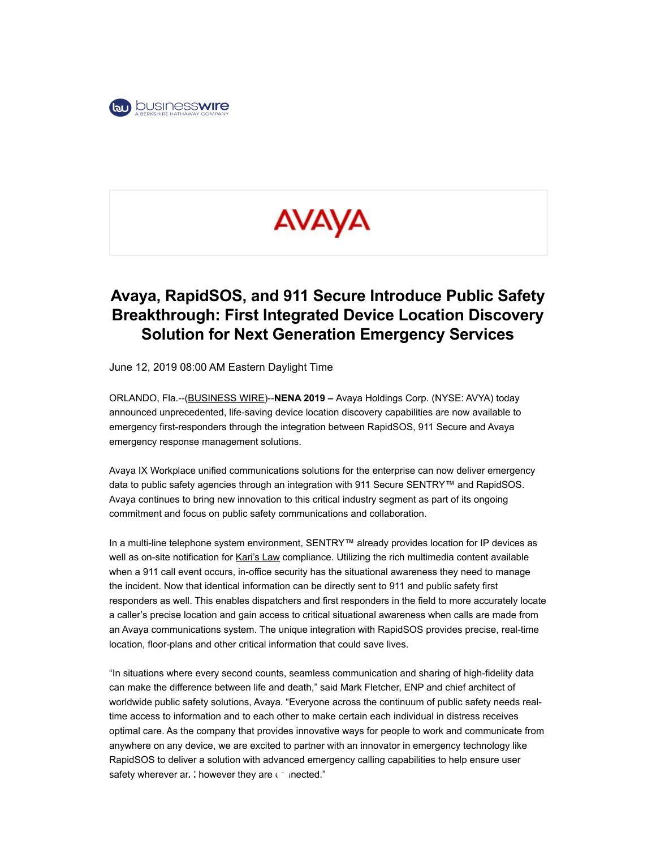

# AVAYA

## Avaya, RapidSOS, and 911 Secure Introduce Public Safety Breakthrough: First Integrated Device Location Discovery Solution for Next Generation Emergency Services

June 12, 2019 08:00 AM Eastern Daylight Time

ORLANDO, Fla.--(BUSINESS WIRE)--NENA 2019 – Avaya Holdings Corp. (NYSE: AVYA) today announced unprecedented, life-saving device location discovery capabilities are now available to emergency first-responders through the integration between RapidSOS, 911 Secure and Avaya emergency response management solutions.

Avaya IX Workplace unified communications solutions for the enterprise can now deliver emergency data to public safety agencies through an integration with 911 Secure SENTRY™ and RapidSOS. Avaya continues to bring new innovation to this critical industry segment as part of its ongoing commitment and focus on public safety communications and collaboration.

In a multi-line telephone system environment, SENTRY™ already provides location for IP devices as well as on-site notification for Kari's Law compliance. Utilizing the rich multimedia content available when a 911 call event occurs, in-office security has the situational awareness they need to manage the incident. Now that identical information can be directly sent to 911 and public safety first responders as well. This enables dispatchers and first responders in the field to more accurately locate a caller's precise location and gain access to critical situational awareness when calls are made from an Avaya communications system. The unique integration with RapidSOS provides precise, real-time location, floor-plans and other critical information that could save lives.

"In situations where every second counts, seamless communication and sharing of high-fidelity data can make the difference between life and death," said Mark Fletcher, ENP and chief architect of worldwide public safety solutions, Avaya. "Everyone across the continuum of public safety needs realtime access to information and to each other to make certain each individual in distress receives optimal care. As the company that provides innovative ways for people to work and communicate from anywhere on any device, we are excited to partner with an innovator in emergency technology like RapidSOS to deliver a solution with advanced emergency calling capabilities to help ensure user safety wherever and however they are connected."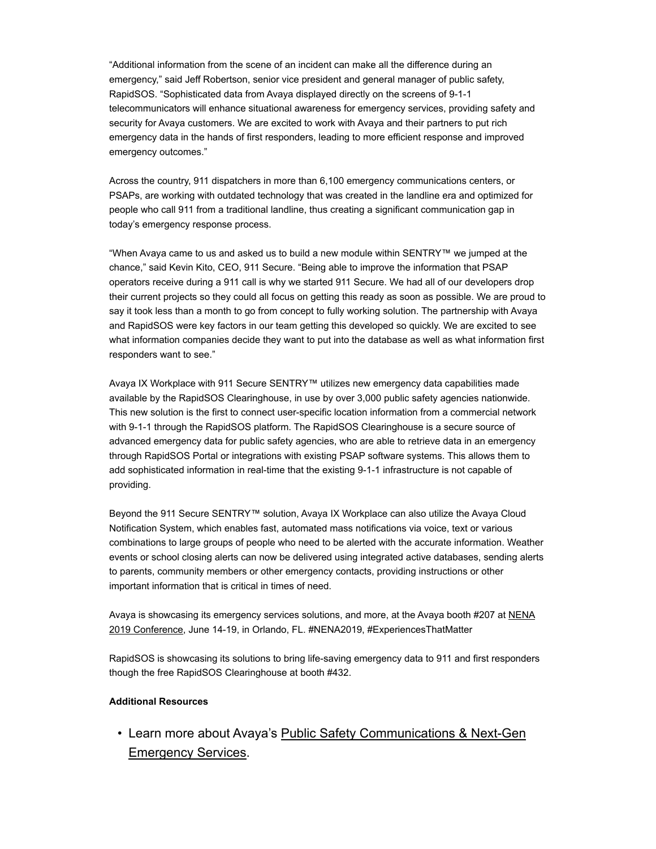"Additional information from the scene of an incident can make all the difference during an emergency," said Jeff Robertson, senior vice president and general manager of public safety, RapidSOS. "Sophisticated data from Avaya displayed directly on the screens of 9-1-1 telecommunicators will enhance situational awareness for emergency services, providing safety and security for Avaya customers. We are excited to work with Avaya and their partners to put rich emergency data in the hands of first responders, leading to more efficient response and improved emergency outcomes."

Across the country, 911 dispatchers in more than 6,100 emergency communications centers, or PSAPs, are working with outdated technology that was created in the landline era and optimized for people who call 911 from a traditional landline, thus creating a significant communication gap in today's emergency response process.

"When Avaya came to us and asked us to build a new module within SENTRY™ we jumped at the chance," said Kevin Kito, CEO, 911 Secure. "Being able to improve the information that PSAP operators receive during a 911 call is why we started 911 Secure. We had all of our developers drop their current projects so they could all focus on getting this ready as soon as possible. We are proud to say it took less than a month to go from concept to fully working solution. The partnership with Avaya and RapidSOS were key factors in our team getting this developed so quickly. We are excited to see what information companies decide they want to put into the database as well as what information first responders want to see."

Avaya IX Workplace with 911 Secure SENTRY™ utilizes new emergency data capabilities made available by the RapidSOS Clearinghouse, in use by over 3,000 public safety agencies nationwide. This new solution is the first to connect user-specific location information from a commercial network with 9-1-1 through the RapidSOS platform. The RapidSOS Clearinghouse is a secure source of advanced emergency data for public safety agencies, who are able to retrieve data in an emergency through RapidSOS Portal or integrations with existing PSAP software systems. This allows them to add sophisticated information in real-time that the existing 9-1-1 infrastructure is not capable of providing.

Beyond the 911 Secure SENTRY™ solution, Avaya IX Workplace can also utilize the Avaya Cloud Notification System, which enables fast, automated mass notifications via voice, text or various combinations to large groups of people who need to be alerted with the accurate information. Weather events or school closing alerts can now be delivered using integrated active databases, sending alerts to parents, community members or other emergency contacts, providing instructions or other important information that is critical in times of need.

Avaya is showcasing its emergency services solutions, and more, at the Avaya booth #207 at NENA 2019 Conference, June 14-19, in Orlando, FL. #NENA2019, #ExperiencesThatMatter

RapidSOS is showcasing its solutions to bring life-saving emergency data to 911 and first responders though the free RapidSOS Clearinghouse at booth #432.

#### Additional Resources

• Learn more about Avaya's Public Safety Communications & Next-Gen Emergency Services.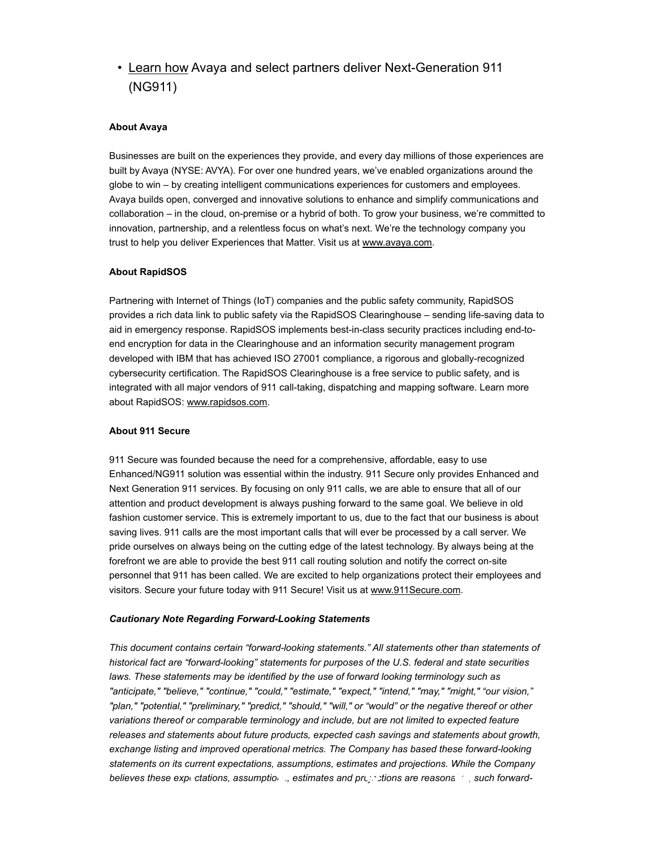### • Learn how Avaya and select partners deliver Next-Generation 911 (NG911)

#### About Avaya

Businesses are built on the experiences they provide, and every day millions of those experiences are built by Avaya (NYSE: AVYA). For over one hundred years, we've enabled organizations around the globe to win – by creating intelligent communications experiences for customers and employees. Avaya builds open, converged and innovative solutions to enhance and simplify communications and collaboration – in the cloud, on-premise or a hybrid of both. To grow your business, we're committed to innovation, partnership, and a relentless focus on what's next. We're the technology company you trust to help you deliver Experiences that Matter. Visit us at www.avaya.com.

#### About RapidSOS

Partnering with Internet of Things (IoT) companies and the public safety community, RapidSOS provides a rich data link to public safety via the RapidSOS Clearinghouse – sending life-saving data to aid in emergency response. RapidSOS implements best-in-class security practices including end-toend encryption for data in the Clearinghouse and an information security management program developed with IBM that has achieved ISO 27001 compliance, a rigorous and globally-recognized cybersecurity certification. The RapidSOS Clearinghouse is a free service to public safety, and is integrated with all major vendors of 911 call-taking, dispatching and mapping software. Learn more about RapidSOS: www.rapidsos.com.

#### About 911 Secure

911 Secure was founded because the need for a comprehensive, affordable, easy to use Enhanced/NG911 solution was essential within the industry. 911 Secure only provides Enhanced and Next Generation 911 services. By focusing on only 911 calls, we are able to ensure that all of our attention and product development is always pushing forward to the same goal. We believe in old fashion customer service. This is extremely important to us, due to the fact that our business is about saving lives. 911 calls are the most important calls that will ever be processed by a call server. We pride ourselves on always being on the cutting edge of the latest technology. By always being at the forefront we are able to provide the best 911 call routing solution and notify the correct on-site personnel that 911 has been called. We are excited to help organizations protect their employees and visitors. Secure your future today with 911 Secure! Visit us at www.911Secure.com.

#### Cautionary Note Regarding Forward-Looking Statements

This document contains certain "forward-looking statements." All statements other than statements of historical fact are "forward-looking" statements for purposes of the U.S. federal and state securities laws. These statements may be identified by the use of forward looking terminology such as "anticipate," "believe," "continue," "could," "estimate," "expect," "intend," "may," "might," "our vision," "plan," "potential," "preliminary," "predict," "should," "will," or "would" or the negative thereof or other variations thereof or comparable terminology and include, but are not limited to expected feature releases and statements about future products, expected cash savings and statements about growth, exchange listing and improved operational metrics. The Company has based these forward-looking statements on its current expectations, assumptions, estimates and projections. While the Company believes these expectations, assumptions, estimates and projections are reasonalles, such forward